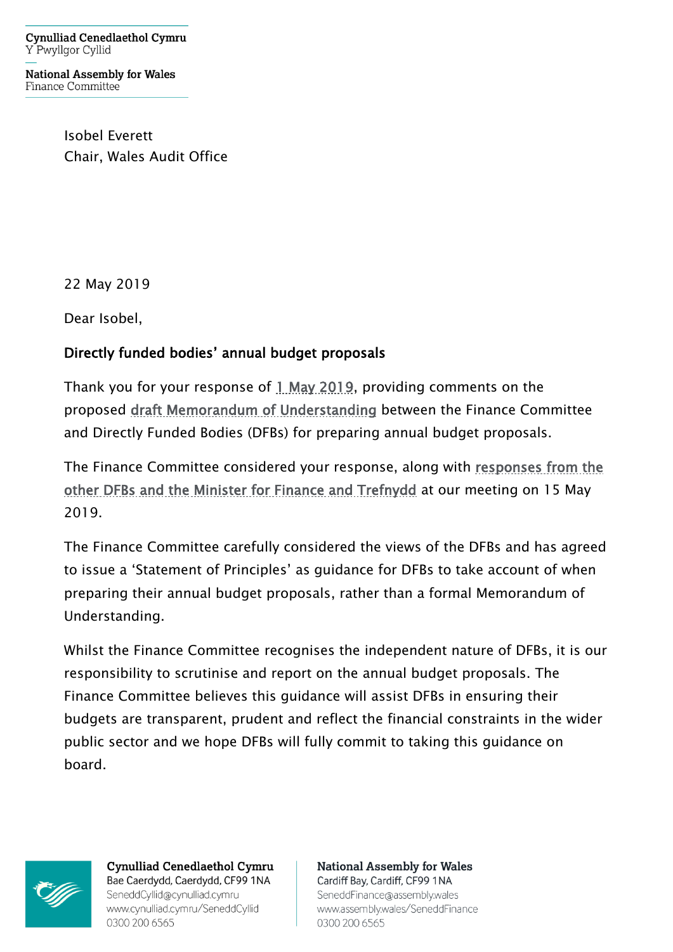**Cynulliad Cenedlaethol Cymru** Y Pwyllgor Cyllid

**National Assembly for Wales** Finance Committee

> Isobel Everett Chair, Wales Audit Office

22 May 2019

Dear Isobel,

## Directly funded bodies' annual budget proposals

Thank you for your response of [1 May 2019,](http://senedd.assembly.wales/documents/s88398/Letter%20from%20the%20Chair%20of%20the%20Wales%20Audit%20Office%20-%201%20May%202019.pdf) providing comments on the proposed [draft Memorandum of Understanding](http://senedd.assembly.wales/documents/s88390/Letter%20to%20the%20Auditor%20General%20for%20Wales%20-%204%20April%202019.pdf) between the Finance Committee and Directly Funded Bodies (DFBs) for preparing annual budget proposals.

The Finance Committee considered your response, along with [responses from the](http://senedd.assembly.wales/mgIssueHistoryHome.aspx?IId=24600)  [other DFBs and the Minister for Finance and Trefnydd](http://senedd.assembly.wales/mgIssueHistoryHome.aspx?IId=24600) at our meeting on 15 May 2019.

The Finance Committee carefully considered the views of the DFBs and has agreed to issue a 'Statement of Principles' as guidance for DFBs to take account of when preparing their annual budget proposals, rather than a formal Memorandum of Understanding.

Whilst the Finance Committee recognises the independent nature of DFBs, it is our responsibility to scrutinise and report on the annual budget proposals. The Finance Committee believes this guidance will assist DFBs in ensuring their budgets are transparent, prudent and reflect the financial constraints in the wider public sector and we hope DFBs will fully commit to taking this guidance on board.



**Cynulliad Cenedlaethol Cymru** Bae Caerdydd, Caerdydd, CF99 1NA SeneddCyllid@cynulliad.cymru www.cynulliad.cymru/SeneddCyllid 0300 200 6565

**National Assembly for Wales** Cardiff Bay, Cardiff, CF99 1NA SeneddFinance@assembly.wales www.assembly.wales/SeneddFinance

0300 200 6565